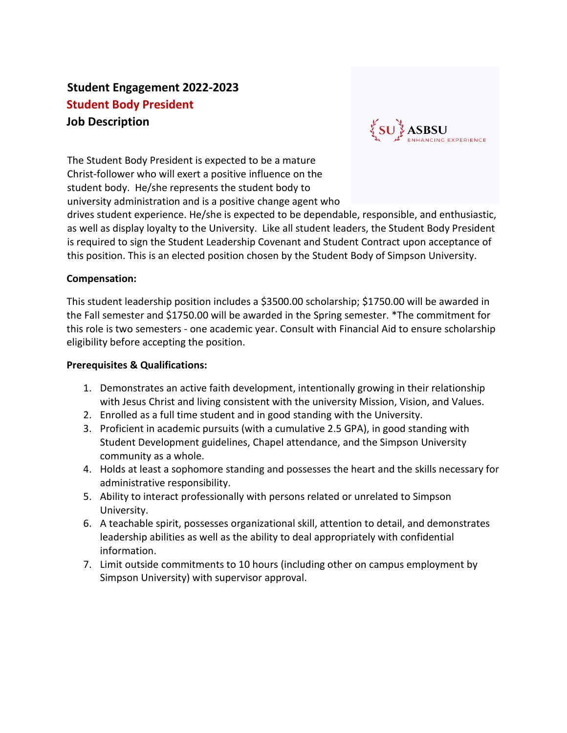# **Student Engagement 2022-2023 Student Body President Job Description**



The Student Body President is expected to be a mature Christ-follower who will exert a positive influence on the student body. He/she represents the student body to university administration and is a positive change agent who

drives student experience. He/she is expected to be dependable, responsible, and enthusiastic, as well as display loyalty to the University. Like all student leaders, the Student Body President is required to sign the Student Leadership Covenant and Student Contract upon acceptance of this position. This is an elected position chosen by the Student Body of Simpson University.

### **Compensation:**

This student leadership position includes a \$3500.00 scholarship; \$1750.00 will be awarded in the Fall semester and \$1750.00 will be awarded in the Spring semester. \*The commitment for this role is two semesters - one academic year. Consult with Financial Aid to ensure scholarship eligibility before accepting the position.

### **Prerequisites & Qualifications:**

- 1. Demonstrates an active faith development, intentionally growing in their relationship with Jesus Christ and living consistent with the university Mission, Vision, and Values.
- 2. Enrolled as a full time student and in good standing with the University.
- 3. Proficient in academic pursuits (with a cumulative 2.5 GPA), in good standing with Student Development guidelines, Chapel attendance, and the Simpson University community as a whole.
- 4. Holds at least a sophomore standing and possesses the heart and the skills necessary for administrative responsibility.
- 5. Ability to interact professionally with persons related or unrelated to Simpson University.
- 6. A teachable spirit, possesses organizational skill, attention to detail, and demonstrates leadership abilities as well as the ability to deal appropriately with confidential information.
- 7. Limit outside commitments to 10 hours (including other on campus employment by Simpson University) with supervisor approval.